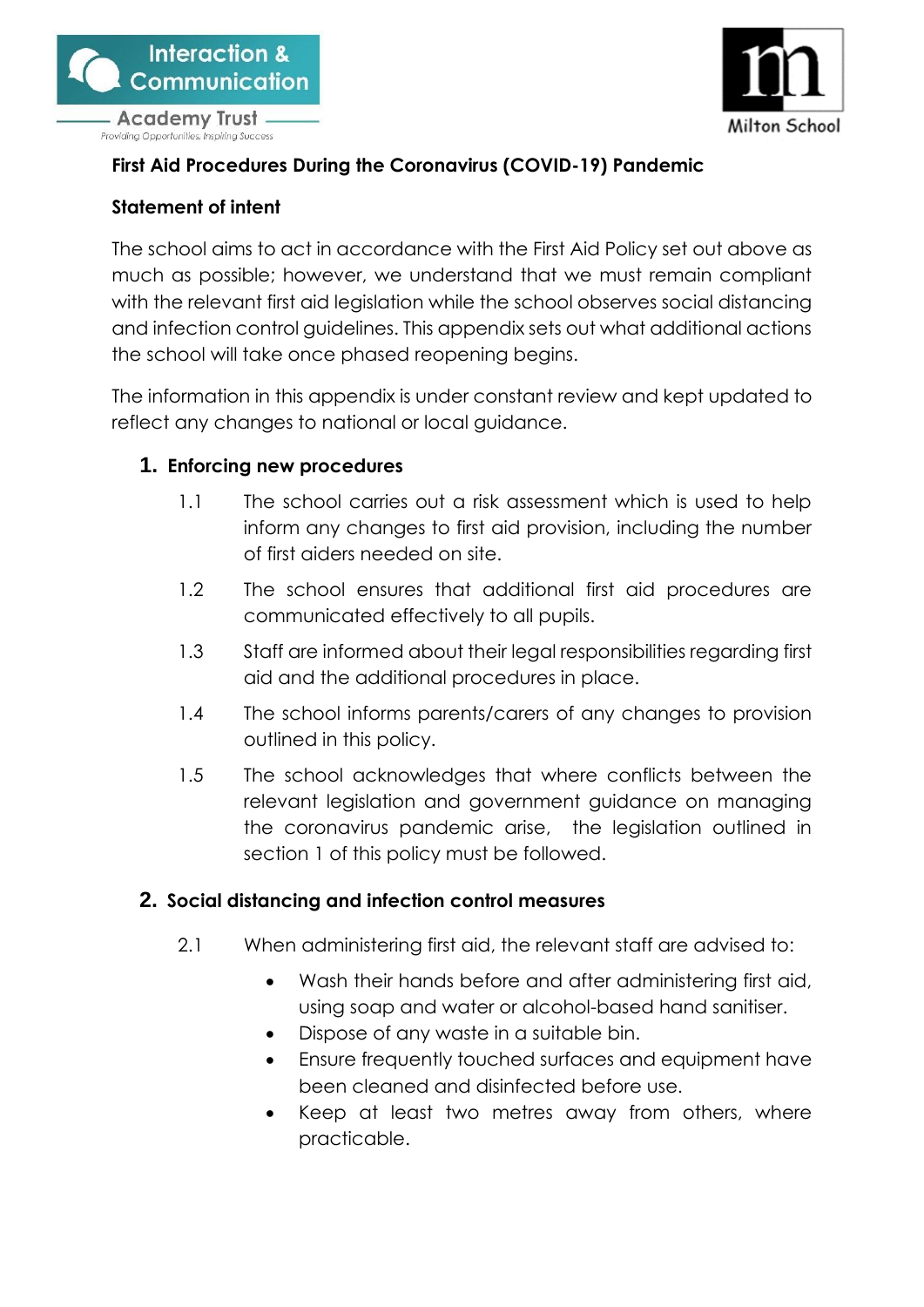



### **First Aid Procedures During the Coronavirus (COVID-19) Pandemic**

#### **Statement of intent**

The school aims to act in accordance with the First Aid Policy set out above as much as possible; however, we understand that we must remain compliant with the relevant first aid legislation while the school observes social distancing and infection control guidelines. This appendix sets out what additional actions the school will take once phased reopening begins.

The information in this appendix is under constant review and kept updated to reflect any changes to national or local guidance.

#### **1. Enforcing new procedures**

- 1.1 The school carries out a risk assessment which is used to help inform any changes to first aid provision, including the number of first aiders needed on site.
- 1.2 The school ensures that additional first aid procedures are communicated effectively to all pupils.
- 1.3 Staff are informed about their legal responsibilities regarding first aid and the additional procedures in place.
- 1.4 The school informs parents/carers of any changes to provision outlined in this policy.
- 1.5 The school acknowledges that where conflicts between the relevant legislation and government guidance on managing the coronavirus pandemic arise, the legislation outlined in section 1 of this policy must be followed.

#### <span id="page-0-0"></span>**2. Social distancing and infection control measures**

- 2.1 When administering first aid, the relevant staff are advised to:
	- Wash their hands before and after administering first aid, using soap and water or alcohol-based hand sanitiser.
	- Dispose of any waste in a suitable bin.
	- Ensure frequently touched surfaces and equipment have been cleaned and disinfected before use.
	- Keep at least two metres away from others, where practicable.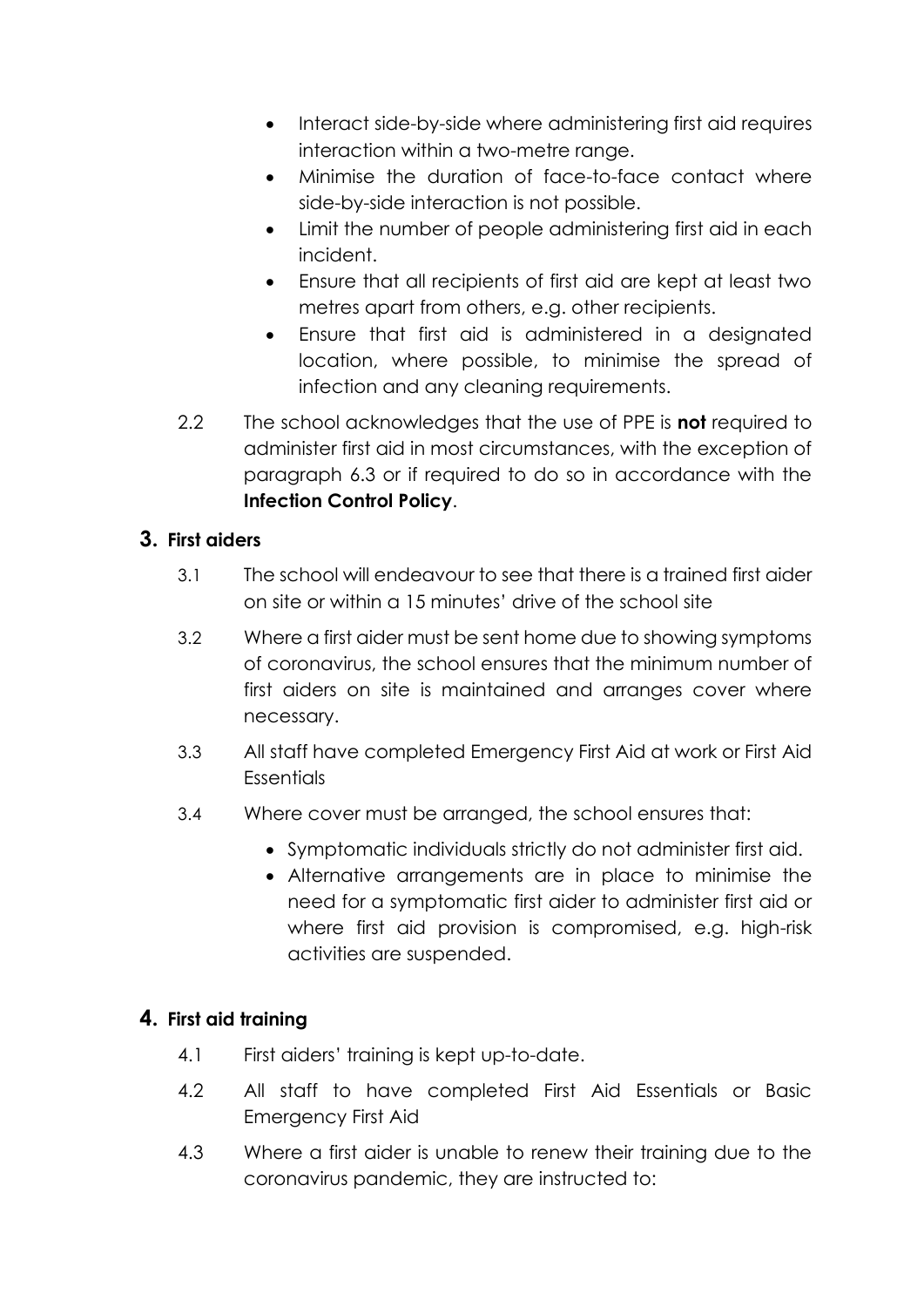- Interact side-by-side where administering first aid requires interaction within a two-metre range.
- Minimise the duration of face-to-face contact where side-by-side interaction is not possible.
- Limit the number of people administering first aid in each incident.
- Ensure that all recipients of first aid are kept at least two metres apart from others, e.g. other recipients.
- Ensure that first aid is administered in a designated location, where possible, to minimise the spread of infection and any cleaning requirements.
- 2.2 The school acknowledges that the use of PPE is **not** required to administer first aid in most circumstances, with the exception of paragraph [6.3](#page-3-0) or if required to do so in accordance with the **Infection Control Policy**.

## **3. First aiders**

- 3.1 The school will endeavour to see that there is a trained first aider on site or within a 15 minutes' drive of the school site
- 3.2 Where a first aider must be sent home due to showing symptoms of coronavirus, the school ensures that the minimum number of first aiders on site is maintained and arranges cover where necessary.
- 3.3 All staff have completed Emergency First Aid at work or First Aid **Essentials**
- 3.4 Where cover must be arranged, the school ensures that:
	- Symptomatic individuals strictly do not administer first aid.
	- Alternative arrangements are in place to minimise the need for a symptomatic first aider to administer first aid or where first aid provision is compromised, e.g. high-risk activities are suspended.

#### **4. First aid training**

- 4.1 First aiders' training is kept up-to-date.
- 4.2 All staff to have completed First Aid Essentials or Basic Emergency First Aid
- 4.3 Where a first aider is unable to renew their training due to the coronavirus pandemic, they are instructed to: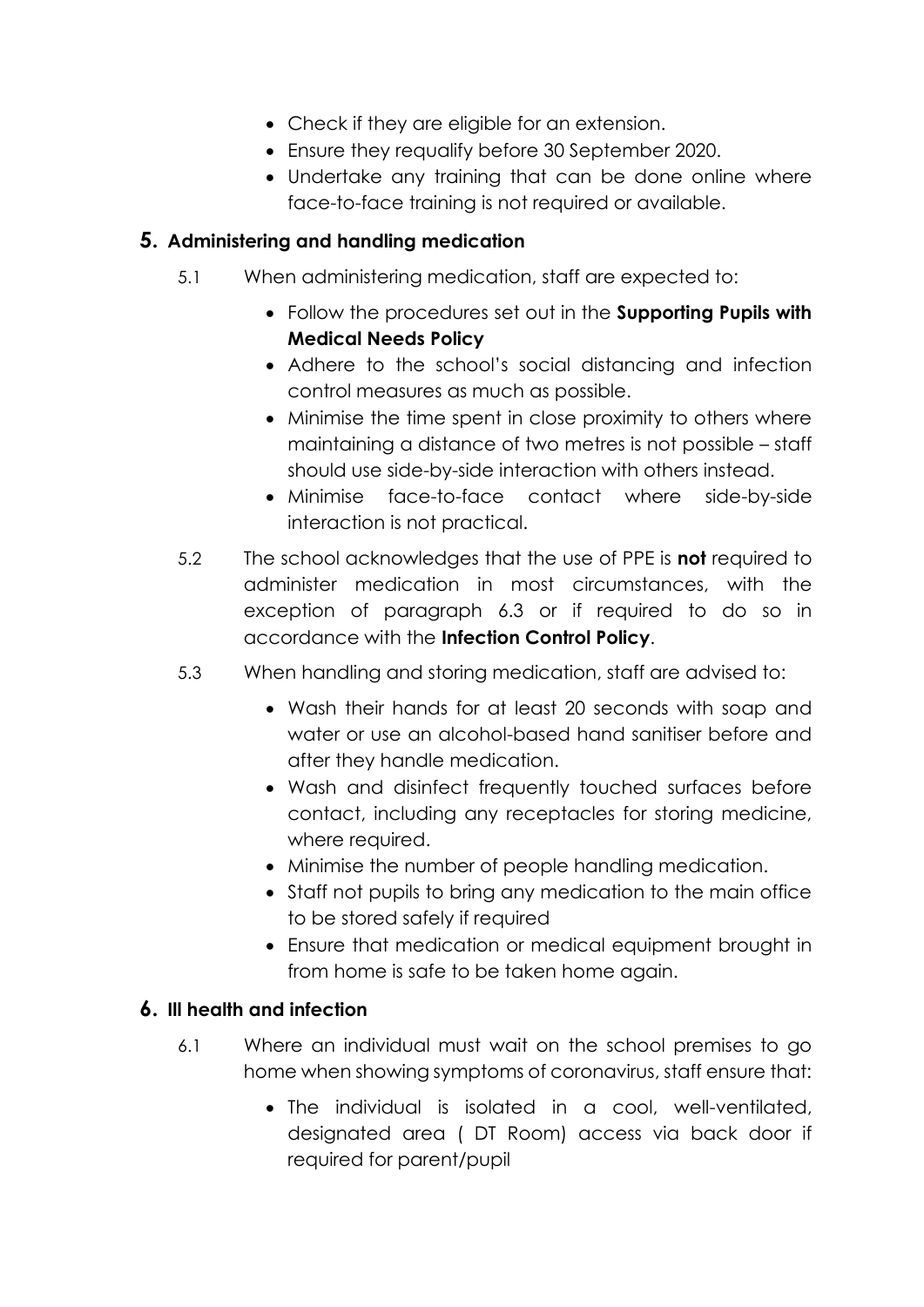- Check if they are eligible for an extension.
- Ensure they requalify before 30 September 2020.
- Undertake any training that can be done online where face-to-face training is not required or available.

# **5. Administering and handling medication**

- 5.1 When administering medication, staff are expected to:
	- Follow the procedures set out in the **Supporting Pupils with Medical Needs Policy**
	- Adhere to the school's social distancing and infection control measures as much as possible.
	- Minimise the time spent in close proximity to others where maintaining a distance of two metres is not possible – staff should use side-by-side interaction with others instead.
	- Minimise face-to-face contact where side-by-side interaction is not practical.
- 5.2 The school acknowledges that the use of PPE is **not** required to administer medication in most circumstances, with the exception of paragraph [6.3](#page-3-0) or if required to do so in accordance with the **Infection Control Policy**.
- 5.3 When handling and storing medication, staff are advised to:
	- Wash their hands for at least 20 seconds with soap and water or use an alcohol-based hand sanitiser before and after they handle medication.
	- Wash and disinfect frequently touched surfaces before contact, including any receptacles for storing medicine, where required.
	- Minimise the number of people handling medication.
	- Staff not pupils to bring any medication to the main office to be stored safely if required
	- Ensure that medication or medical equipment brought in from home is safe to be taken home again.

#### **6. Ill health and infection**

- 6.1 Where an individual must wait on the school premises to go home when showing symptoms of coronavirus, staff ensure that:
	- The individual is isolated in a cool, well-ventilated, designated area ( DT Room) access via back door if required for parent/pupil